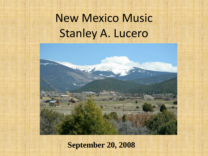# New Mexico Music Stanley A. Lucero



#### **September 20, 2008**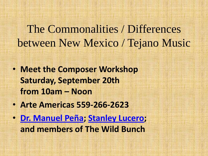# The Commonalities / Differences between New Mexico / Tejano Music

- **Meet the Composer Workshop Saturday, September 20th from 10am – Noon**
- **Arte Americas 559-266-2623**
- **[Dr. Manuel Peña](http://www.manuelhpena.com/); [Stanley Lucero;](http://www.lucerito.net/) and members of The Wild Bunch**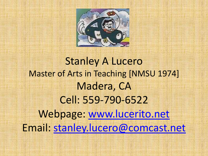

# Stanley A Lucero Master of Arts in Teaching [NMSU 1974] Madera, CA Cell: 559-790-6522 Webpage: [www.lucerito.net](http://www.lucerito.net/) Email: [stanley.lucero@comcast.net](mailto:stanley.lucero@comcast.net)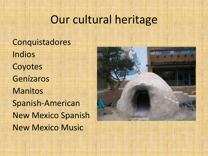### Our cultural heritage

Conquistadores Indios Coyotes Genízaros Manitos Spanish-American New Mexico Spanish New Mexico Music

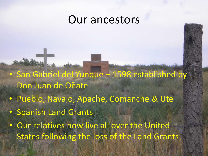### Our ancestors

- San Gabriel del Yunque 1598 established by Don Juan de Oñate
- Pueblo, Navajo, Apache, Comanche & Ute
- Spanish Land Grants
- Our relatives now live all over the United States following the loss of the Land Grants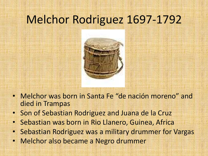# Melchor Rodriguez 1697-1792



- Melchor was born in Santa Fe "de nación moreno" and died in Trampas
- Son of Sebastian Rodriguez and Juana de la Cruz
- Sebastian was born in Rio Llanero, Guinea, Africa
- Sebastian Rodriguez was a military drummer for Vargas
- Melchor also became a Negro drummer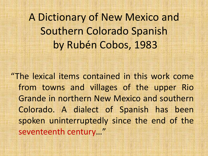A Dictionary of New Mexico and Southern Colorado Spanish by Rubén Cobos, 1983

"The lexical items contained in this work come from towns and villages of the upper Rio Grande in northern New Mexico and southern Colorado. A dialect of Spanish has been spoken uninterruptedly since the end of the seventeenth century…"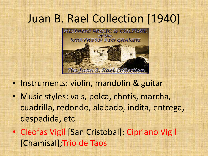# Juan B. Rael Collection [1940]



- Instruments: violin, mandolin & guitar
- Music styles: vals, polca, chotis, marcha, cuadrilla, redondo, alabado, indita, entrega, despedida, etc.
- Cleofas Vigil [San Cristobal]; Cipriano Vigil [Chamisal];Trio de Taos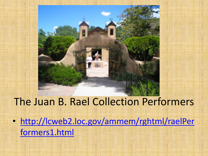# The Juan B. Rael Collection Performers

• [http://lcweb2.loc.gov/ammem/rghtml/raelPer](http://lcweb2.loc.gov/ammem/rghtml/raelPerformers1.html) [formers1.html](http://lcweb2.loc.gov/ammem/rghtml/raelPerformers1.html)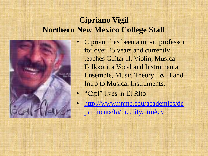#### **Cipriano Vigil Northern New Mexico College Staff**



- Cipriano has been a music professor for over 25 years and currently teaches Guitar II, Violin, Musica Folkkorica Vocal and Instrumental Ensemble, Music Theory I & II and Intro to Musical Instruments.
- "Cipi" lives in El Rito
- [http://www.nnmc.edu/academics/de](http://www.nnmc.edu/academics/departments/fa/faculity.htm) [partments/fa/faculity.htm#cv](http://www.nnmc.edu/academics/departments/fa/faculity.htm)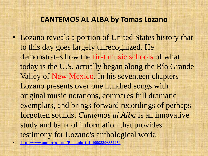#### **CANTEMOS AL ALBA by Tomas Lozano**

• Lozano reveals a portion of United States history that to this day goes largely unrecognized. He demonstrates how the first music schools of what today is the U.S. actually began along the Río Grande Valley of New Mexico. In his seventeen chapters Lozano presents over one hundred songs with original music notations, compares full dramatic exemplars, and brings forward recordings of perhaps forgotten sounds. *Cantemos al Alba* is an innovative study and bank of information that provides testimony for Lozano's anthological work.

• **<http://www.unmpress.com/Book.php?id=10993396852454>**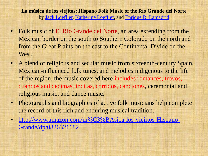**La música de los viejitos: Hispano Folk Music of the Río Grande del Norte** by [Jack Loeffler](http://www.amazon.com/exec/obidos/search-handle-url/ref=ntt_athr_dp_sr_1?_encoding=UTF8&search-type=ss&index=books&field-author=Jack Loeffler), [Katherine Loeffler,](http://www.amazon.com/exec/obidos/search-handle-url/ref=ntt_athr_dp_sr_2?_encoding=UTF8&search-type=ss&index=books&field-author=Katherine Loeffler) and [Enrique R. Lamadrid](http://www.amazon.com/exec/obidos/search-handle-url/ref=ntt_athr_dp_sr_3?_encoding=UTF8&search-type=ss&index=books&field-author=Enrique R. Lamadrid)

- Folk music of El Rio Grande del Norte, an area extending from the Mexican border on the south to Southern Colorado on the north and from the Great Plains on the east to the Continental Divide on the West.
- A blend of religious and secular music from sixteenth-century Spain, Mexican-influenced folk tunes, and melodies indigenous to the life of the region, the music covered here includes romances, trovos, cuandos and decimas, inditas, corridos, canciones, ceremonial and religious music, and dance music.
- Photographs and biographies of active folk musicians help complete the record of this rich and enduring musical tradition.
- [http://www.amazon.com/m%C3%BAsica-los-viejitos-Hispano-](http://www.amazon.com/m%C3%BAsica-los-viejitos-Hispano-Grande/dp/0826321682)[Grande/dp/0826321682](http://www.amazon.com/m%C3%BAsica-los-viejitos-Hispano-Grande/dp/0826321682)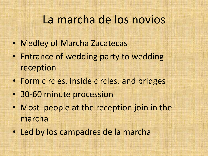### La marcha de los novios

- Medley of Marcha Zacatecas
- Entrance of wedding party to wedding reception
- Form circles, inside circles, and bridges
- 30-60 minute procession
- Most people at the reception join in the marcha
- Led by los campadres de la marcha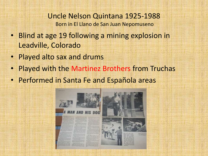Uncle Nelson Quintana 1925-1988 Born in El Llano de San Juan Nepomuseno

- Blind at age 19 following a mining explosion in Leadville, Colorado
- Played alto sax and drums
- Played with the Martinez Brothers from Truchas
- Performed in Santa Fe and Española areas

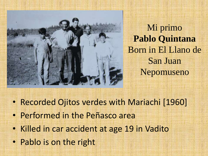

Mi primo **Pablo Quintana** Born in El Llano de San Juan Nepomuseno

- Recorded Ojitos verdes with Mariachi [1960]
- Performed in the Peñasco area
- Killed in car accident at age 19 in Vadito
- Pablo is on the right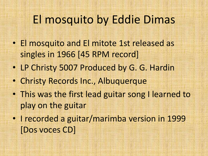## El mosquito by Eddie Dimas

- El mosquito and El mitote 1st released as singles in 1966 [45 RPM record]
- LP Christy 5007 Produced by G. G. Hardin
- Christy Records Inc., Albuquerque
- This was the first lead guitar song I learned to play on the guitar
- I recorded a guitar/marimba version in 1999 [Dos voces CD]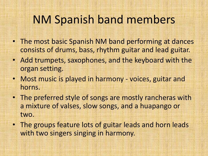### NM Spanish band members

- The most basic Spanish NM band performing at dances consists of drums, bass, rhythm guitar and lead guitar.
- Add trumpets, saxophones, and the keyboard with the organ setting.
- Most music is played in harmony voices, guitar and horns.
- The preferred style of songs are mostly rancheras with a mixture of valses, slow songs, and a huapango or two.
- The groups feature lots of guitar leads and horn leads with two singers singing in harmony.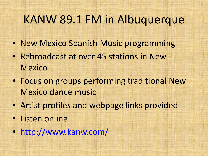### KANW 89.1 FM in Albuquerque

- New Mexico Spanish Music programming
- Rebroadcast at over 45 stations in New **Mexico**
- Focus on groups performing traditional New Mexico dance music
- Artist profiles and webpage links provided
- Listen online
- <http://www.kanw.com/>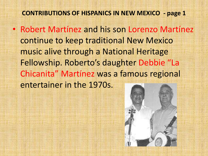#### **CONTRIBUTIONS OF HISPANICS IN NEW MEXICO - page 1**

• Robert Martínez and his son Lorenzo Martínez continue to keep traditional New Mexico music alive through a National Heritage Fellowship. Roberto's daughter Debbie "La Chicanita" Martínez was a famous regional entertainer in the 1970s.

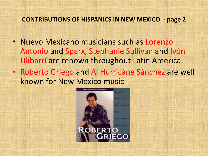#### **CONTRIBUTIONS OF HISPANICS IN NEW MEXICO - page 2**

- Nuevo Mexicano musicians such as Lorenzo Antonio and Sparx, Stephanie Sullivan and Ivón Ulibarrí are renown throughout Latin America.
- Roberto Griego and Al Hurricane Sánchez are well known for New Mexico music

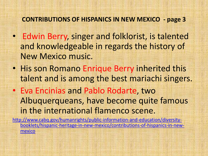#### **CONTRIBUTIONS OF HISPANICS IN NEW MEXICO - page 3**

- Edwin Berry, singer and folklorist, is talented and knowledgeable in regards the history of New Mexico music.
- His son Romano Enrique Berry inherited this talent and is among the best mariachi singers.
- Eva Encinias and Pablo Rodarte, two Albuquerqueans, have become quite famous in the international flamenco scene.

[http://www.cabq.gov/humanrights/public-information-and-education/diversity](http://www.cabq.gov/humanrights/public-information-and-education/diversity-booklets/hispanic-heritage-in-new-mexico/contributions-of-hispanics-in-new-mexico)[booklets/hispanic-heritage-in-new-mexico/contributions-of-hispanics-in-new](http://www.cabq.gov/humanrights/public-information-and-education/diversity-booklets/hispanic-heritage-in-new-mexico/contributions-of-hispanics-in-new-mexico)[mexico](http://www.cabq.gov/humanrights/public-information-and-education/diversity-booklets/hispanic-heritage-in-new-mexico/contributions-of-hispanics-in-new-mexico)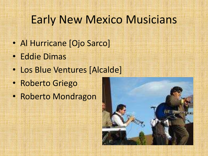### Early New Mexico Musicians

- Al Hurricane [Ojo Sarco]
- Eddie Dimas
- Los Blue Ventures [Alcalde]
- Roberto Griego
- Roberto Mondragon

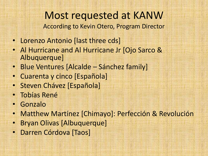Most requested at KANW According to Kevin Otero, Program Director

- Lorenzo Antonio [last three cds]
- Al Hurricane and Al Hurricane Jr [Ojo Sarco & Albuquerque]
- Blue Ventures [Alcalde Sánchez family]
- Cuarenta y cinco [Española]
- Steven Chávez [Española]
- Tobías René
- Gonzalo
- Matthew Martínez [Chimayo]: Perfección & Revolución
- Bryan Olivas [Albuquerque]
- Darren Córdova [Taos]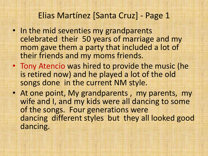### Elias Martínez [Santa Cruz] - Page 1

- In the mid seventies my grandparents celebrated their 50 years of marriage and my mom gave them a party that included a lot of their friends and my moms friends.
- Tony Atencio was hired to provide the music (he is retired now) and he played a lot of the old songs done in the current NM style.
- At one point, My grandparents , my parents, my wife and I, and my kids were all dancing to some of the songs. Four generations were dancing different styles but they all looked good dancing.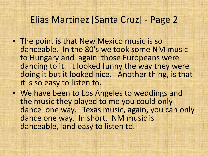### Elias Martínez [Santa Cruz] - Page 2

- The point is that New Mexico music is so danceable. In the 80's we took some NM music to Hungary and again those Europeans were dancing to it. it looked funny the way they were doing it but it looked nice. Another thing, is that it is so easy to listen to.
- We have been to Los Angeles to weddings and the music they played to me you could only dance one way. Texas music, again, you can only dance one way. In short, NM music is danceable, and easy to listen to.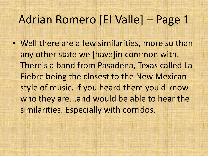### Adrian Romero [El Valle] – Page 1

• Well there are a few similarities, more so than any other state we [have]in common with. There's a band from Pasadena, Texas called La Fiebre being the closest to the New Mexican style of music. If you heard them you'd know who they are...and would be able to hear the similarities. Especially with corridos.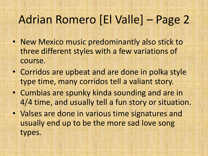# Adrian Romero [El Valle] – Page 2

- New Mexico music predominantly also stick to three different styles with a few variations of course.
- Corridos are upbeat and are done in polka style type time, many corridos tell a valiant story.
- Cumbias are spunky kinda sounding and are in 4/4 time, and usually tell a fun story or situation.
- Valses are done in various time signatures and usually end up to be the more sad love song types.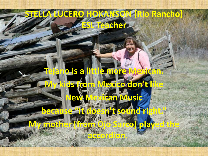### **STELLA LUCERO HOKANSON [Rio Rancho] ESL Teacher**

# **Tejano is a little more Mexican. My exico don't Can Music**

**because "It doesn't sound** 

**My mother [from Ojo Sarco] played the** 

**accordion.**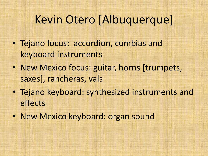# Kevin Otero [Albuquerque]

- Tejano focus: accordion, cumbias and keyboard instruments
- New Mexico focus: guitar, horns [trumpets, saxes], rancheras, vals
- Tejano keyboard: synthesized instruments and effects
- New Mexico keyboard: organ sound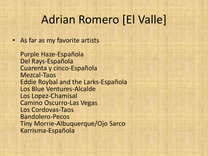### Adrian Romero [El Valle]

• As far as my favorite artists

Purple Haze-Española Del Rays-Española Cuarenta y cinco-Española Mezcal-Taos Eddie Roybal and the Larks-Española Los Blue Ventures-Alcalde Los Lopez-Chamisal Camino Oscurro-Las Vegas Los Cordovas-Taos Bandolero-Pecos Tiny Morrie-Albuquerque/Ojo Sarco Karrisma-Española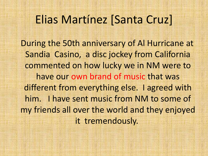### Elias Martínez [Santa Cruz]

During the 50th anniversary of Al Hurricane at Sandia Casino, a disc jockey from California commented on how lucky we in NM were to have our own brand of music that was different from everything else. I agreed with him. I have sent music from NM to some of my friends all over the world and they enjoyed it tremendously.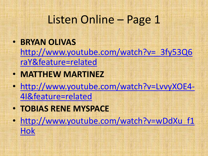## Listen Online – Page 1

### • **BRYAN OLIVAS** [http://www.youtube.com/watch?v=\\_3fy53Q6](http://www.youtube.com/watch?v=_3fy53Q6raY&feature=related)

[raY&feature=related](http://www.youtube.com/watch?v=_3fy53Q6raY&feature=related)

- **MATTHEW MARTINEZ**
- [http://www.youtube.com/watch?v=LvvyXOE4-](http://www.youtube.com/watch?v=LvvyXOE4-4I&feature=related) [4I&feature=related](http://www.youtube.com/watch?v=LvvyXOE4-4I&feature=related)
- **TOBIAS RENE MYSPACE**
- http://www.youtube.com/watch?v=wDdXu f1 [Hok](http://www.youtube.com/watch?v=wDdXu_f1Hok)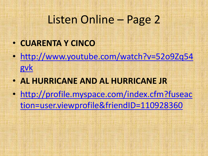# Listen Online – Page 2

- **CUARENTA Y CINCO**
- [http://www.youtube.com/watch?v=52o9Zq54](http://www.youtube.com/watch?v=52o9Zq54gvk) [gvk](http://www.youtube.com/watch?v=52o9Zq54gvk)
- **AL HURRICANE AND AL HURRICANE JR**
- [http://profile.myspace.com/index.cfm?fuseac](http://profile.myspace.com/index.cfm?fuseaction=user.viewprofile&friendID=110928360) [tion=user.viewprofile&friendID=110928360](http://profile.myspace.com/index.cfm?fuseaction=user.viewprofile&friendID=110928360)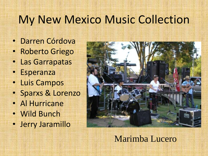## My New Mexico Music Collection

- Darren Córdova
- Roberto Griego
- Las Garrapatas
- Esperanza
- Luis Campos
- Sparxs & Lorenzo
- Al Hurricane
- Wild Bunch
- Jerry Jaramillo



### Marimba Lucero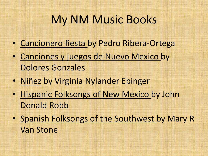## My NM Music Books

- Cancionero fiesta by Pedro Ribera-Ortega
- Canciones y juegos de Nuevo Mexico by Dolores Gonzales
- Niñez by Virginia Nylander Ebinger
- Hispanic Folksongs of New Mexico by John Donald Robb
- Spanish Folksongs of the Southwest by Mary R Van Stone